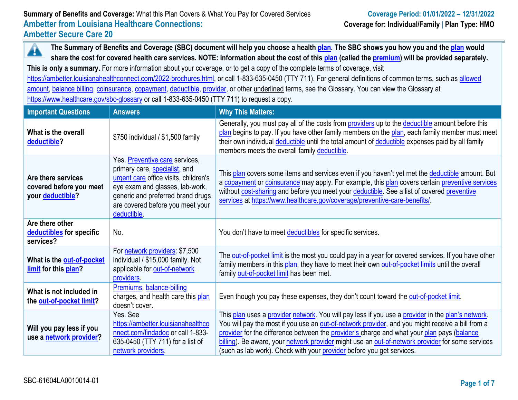**The Summary of Benefits and Coverage (SBC) document will help you choose a health [plan.](https://www.healthcare.gov/sbc-glossary/#plan) The SBC shows you how you and the [plan](https://www.healthcare.gov/sbc-glossary/#plan) would**  Â **share the cost for covered health care services. NOTE: Information about the cost of this [plan](https://www.healthcare.gov/sbc-glossary/#plan) (called the [premium\)](https://www.healthcare.gov/sbc-glossary/#premium) will be provided separately.**

**This is only a summary.** For more information about your coverage, or to get a copy of the complete terms of coverage, visit

[https://ambetter.louisianahealthconnect.com/2022-brochures.html,](https://ambetter.louisianahealthconnect.com/2022-brochures.html) or call 1-833-635-0450 (TTY 711). For general definitions of common terms, such as [allowed](https://www.healthcare.gov/sbc-glossary/#allowed-amount)  [amount,](https://www.healthcare.gov/sbc-glossary/#allowed-amount) [balance billing,](https://www.healthcare.gov/sbc-glossary/#balance-billing) [coinsurance,](https://www.healthcare.gov/sbc-glossary/#coinsurance) [copayment,](https://www.healthcare.gov/sbc-glossary/#copayment) [deductible,](https://www.healthcare.gov/sbc-glossary/#deductible) [provider,](https://www.healthcare.gov/sbc-glossary/#provider) or other underlined terms, see the Glossary. You can view the Glossary at <https://www.healthcare.gov/sbc-glossary> or call 1-833-635-0450 (TTY 711) to request a copy.

| <b>Important Questions</b>                                        | <b>Answers</b>                                                                                                                                                                                                                      | <b>Why This Matters:</b>                                                                                                                                                                                                                                                                                                                                                                                                                                                         |
|-------------------------------------------------------------------|-------------------------------------------------------------------------------------------------------------------------------------------------------------------------------------------------------------------------------------|----------------------------------------------------------------------------------------------------------------------------------------------------------------------------------------------------------------------------------------------------------------------------------------------------------------------------------------------------------------------------------------------------------------------------------------------------------------------------------|
| What is the overall<br>deductible?                                | \$750 individual / \$1,500 family                                                                                                                                                                                                   | Generally, you must pay all of the costs from providers up to the deductible amount before this<br>plan begins to pay. If you have other family members on the plan, each family member must meet<br>their own individual deductible until the total amount of deductible expenses paid by all family<br>members meets the overall family deductible.                                                                                                                            |
| Are there services<br>covered before you meet<br>your deductible? | Yes. Preventive care services,<br>primary care, specialist, and<br>urgent care office visits, children's<br>eye exam and glasses, lab-work,<br>generic and preferred brand drugs<br>are covered before you meet your<br>deductible. | This plan covers some items and services even if you haven't yet met the deductible amount. But<br>a copayment or coinsurance may apply. For example, this plan covers certain preventive services<br>without cost-sharing and before you meet your deductible. See a list of covered preventive<br>services at https://www.healthcare.gov/coverage/preventive-care-benefits/                                                                                                    |
| Are there other<br>deductibles for specific<br>services?          | No.                                                                                                                                                                                                                                 | You don't have to meet deductibles for specific services.                                                                                                                                                                                                                                                                                                                                                                                                                        |
| What is the out-of-pocket<br>limit for this plan?                 | For network providers: \$7,500<br>individual / \$15,000 family. Not<br>applicable for out-of-network<br>providers.                                                                                                                  | The out-of-pocket limit is the most you could pay in a year for covered services. If you have other<br>family members in this plan, they have to meet their own out-of-pocket limits until the overall<br>family out-of-pocket limit has been met.                                                                                                                                                                                                                               |
| What is not included in<br>the out-of-pocket limit?               | Premiums, balance-billing<br>charges, and health care this plan<br>doesn't cover.                                                                                                                                                   | Even though you pay these expenses, they don't count toward the out-of-pocket limit.                                                                                                                                                                                                                                                                                                                                                                                             |
| Will you pay less if you<br>use a network provider?               | Yes, See<br>https://ambetter.louisianahealthco<br>nnect.com/findadoc or call 1-833-<br>635-0450 (TTY 711) for a list of<br>network providers.                                                                                       | This plan uses a provider network. You will pay less if you use a provider in the plan's network.<br>You will pay the most if you use an out-of-network provider, and you might receive a bill from a<br>provider for the difference between the provider's charge and what your plan pays (balance<br>billing). Be aware, your network provider might use an out-of-network provider for some services<br>(such as lab work). Check with your provider before you get services. |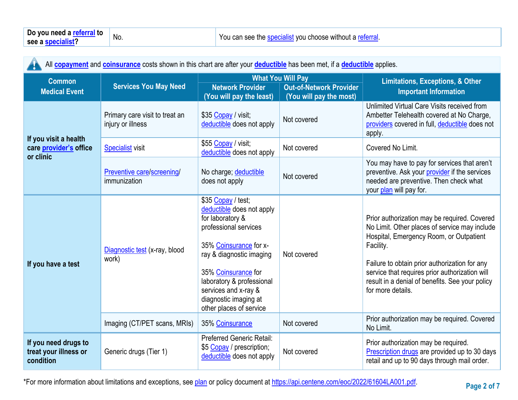| All <b>copayment</b> and <b>coinsurance</b> costs shown in this chart are after your <b>deductible</b> has been met, if a <b>deductible</b> applies. |                                                     |                                                                                                                                                                                                                                                                                    |                                                           |                                                                                                                                                                                                                                                                                                                                  |  |
|------------------------------------------------------------------------------------------------------------------------------------------------------|-----------------------------------------------------|------------------------------------------------------------------------------------------------------------------------------------------------------------------------------------------------------------------------------------------------------------------------------------|-----------------------------------------------------------|----------------------------------------------------------------------------------------------------------------------------------------------------------------------------------------------------------------------------------------------------------------------------------------------------------------------------------|--|
| <b>Common</b>                                                                                                                                        |                                                     |                                                                                                                                                                                                                                                                                    | <b>What You Will Pay</b>                                  | <b>Limitations, Exceptions, &amp; Other</b>                                                                                                                                                                                                                                                                                      |  |
| <b>Medical Event</b>                                                                                                                                 | <b>Services You May Need</b>                        | <b>Network Provider</b><br>(You will pay the least)                                                                                                                                                                                                                                | <b>Out-of-Network Provider</b><br>(You will pay the most) | <b>Important Information</b>                                                                                                                                                                                                                                                                                                     |  |
|                                                                                                                                                      | Primary care visit to treat an<br>injury or illness | \$35 Copay / visit;<br>deductible does not apply                                                                                                                                                                                                                                   | Not covered                                               | Unlimited Virtual Care Visits received from<br>Ambetter Telehealth covered at No Charge,<br>providers covered in full, deductible does not<br>apply.                                                                                                                                                                             |  |
| If you visit a health<br>care provider's office                                                                                                      | <b>Specialist visit</b>                             | \$55 Copay / visit;<br>deductible does not apply                                                                                                                                                                                                                                   | Not covered                                               | Covered No Limit.                                                                                                                                                                                                                                                                                                                |  |
| or clinic                                                                                                                                            | Preventive care/screening/<br>immunization          | No charge; deductible<br>does not apply                                                                                                                                                                                                                                            | Not covered                                               | You may have to pay for services that aren't<br>preventive. Ask your provider if the services<br>needed are preventive. Then check what<br>your plan will pay for.                                                                                                                                                               |  |
| If you have a test                                                                                                                                   | Diagnostic test (x-ray, blood<br>work)              | \$35 Copay / test;<br>deductible does not apply<br>for laboratory &<br>professional services<br>35% Coinsurance for x-<br>ray & diagnostic imaging<br>35% Coinsurance for<br>laboratory & professional<br>services and x-ray &<br>diagnostic imaging at<br>other places of service | Not covered                                               | Prior authorization may be required. Covered<br>No Limit. Other places of service may include<br>Hospital, Emergency Room, or Outpatient<br>Facility.<br>Failure to obtain prior authorization for any<br>service that requires prior authorization will<br>result in a denial of benefits. See your policy<br>for more details. |  |
|                                                                                                                                                      | Imaging (CT/PET scans, MRIs)                        | 35% Coinsurance                                                                                                                                                                                                                                                                    | Not covered                                               | Prior authorization may be required. Covered<br>No Limit.                                                                                                                                                                                                                                                                        |  |
| If you need drugs to<br>treat your illness or<br>condition                                                                                           | Generic drugs (Tier 1)                              | <b>Preferred Generic Retail:</b><br>\$5 Copay / prescription;<br>deductible does not apply                                                                                                                                                                                         | Not covered                                               | Prior authorization may be required.<br>Prescription drugs are provided up to 30 days<br>retail and up to 90 days through mail order.                                                                                                                                                                                            |  |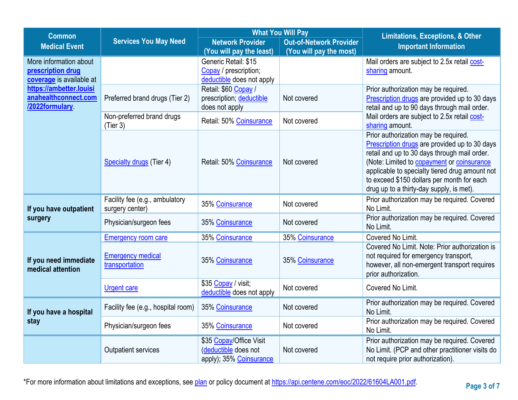| <b>Common</b>                                                           |                                                   |                                                                            | <b>What You Will Pay</b>       | <b>Limitations, Exceptions, &amp; Other</b>                                                                                                                                                                                                                                                                                     |  |
|-------------------------------------------------------------------------|---------------------------------------------------|----------------------------------------------------------------------------|--------------------------------|---------------------------------------------------------------------------------------------------------------------------------------------------------------------------------------------------------------------------------------------------------------------------------------------------------------------------------|--|
| <b>Medical Event</b>                                                    | <b>Services You May Need</b>                      | <b>Network Provider</b>                                                    | <b>Out-of-Network Provider</b> | <b>Important Information</b>                                                                                                                                                                                                                                                                                                    |  |
|                                                                         |                                                   | (You will pay the least)                                                   | (You will pay the most)        |                                                                                                                                                                                                                                                                                                                                 |  |
| More information about<br>prescription drug<br>coverage is available at |                                                   | Generic Retail: \$15<br>Copay / prescription;<br>deductible does not apply |                                | Mail orders are subject to 2.5x retail cost-<br>sharing amount.                                                                                                                                                                                                                                                                 |  |
| https://ambetter.louisi<br>anahealthconnect.com<br>/2022formulary       | Preferred brand drugs (Tier 2)                    | Retail: \$60 Copay /<br>prescription; deductible<br>does not apply         | Not covered                    | Prior authorization may be required.<br>Prescription drugs are provided up to 30 days<br>retail and up to 90 days through mail order.                                                                                                                                                                                           |  |
|                                                                         | Non-preferred brand drugs<br>(Tier 3)             | Retail: 50% Coinsurance                                                    | Not covered                    | Mail orders are subject to 2.5x retail cost-<br>sharing amount.                                                                                                                                                                                                                                                                 |  |
|                                                                         | <b>Specialty drugs (Tier 4)</b>                   | Retail: 50% Coinsurance                                                    | Not covered                    | Prior authorization may be required.<br>Prescription drugs are provided up to 30 days<br>retail and up to 30 days through mail order.<br>(Note: Limited to copayment or coinsurance<br>applicable to specialty tiered drug amount not<br>to exceed \$150 dollars per month for each<br>drug up to a thirty-day supply, is met). |  |
| If you have outpatient                                                  | Facility fee (e.g., ambulatory<br>surgery center) | 35% Coinsurance                                                            | Not covered                    | Prior authorization may be required. Covered<br>No Limit.                                                                                                                                                                                                                                                                       |  |
| surgery                                                                 | Physician/surgeon fees                            | 35% Coinsurance                                                            | Not covered                    | Prior authorization may be required. Covered<br>No Limit.                                                                                                                                                                                                                                                                       |  |
|                                                                         | <b>Emergency room care</b>                        | 35% Coinsurance                                                            | 35% Coinsurance                | Covered No Limit.                                                                                                                                                                                                                                                                                                               |  |
| If you need immediate<br>medical attention                              | <b>Emergency medical</b><br>transportation        | 35% Coinsurance                                                            | 35% Coinsurance                | Covered No Limit. Note: Prior authorization is<br>not required for emergency transport,<br>however, all non-emergent transport requires<br>prior authorization.                                                                                                                                                                 |  |
|                                                                         | <b>Urgent care</b>                                | \$35 Copay / visit;<br>deductible does not apply                           | Not covered                    | Covered No Limit.                                                                                                                                                                                                                                                                                                               |  |
| If you have a hospital                                                  | Facility fee (e.g., hospital room)                | 35% Coinsurance                                                            | Not covered                    | Prior authorization may be required. Covered<br>No Limit.                                                                                                                                                                                                                                                                       |  |
| stay                                                                    | Physician/surgeon fees                            | 35% Coinsurance                                                            | Not covered                    | Prior authorization may be required. Covered<br>No Limit.                                                                                                                                                                                                                                                                       |  |
|                                                                         | <b>Outpatient services</b>                        | \$35 Copay/Office Visit<br>(deductible does not<br>apply); 35% Coinsurance | Not covered                    | Prior authorization may be required. Covered<br>No Limit. (PCP and other practitioner visits do<br>not require prior authorization).                                                                                                                                                                                            |  |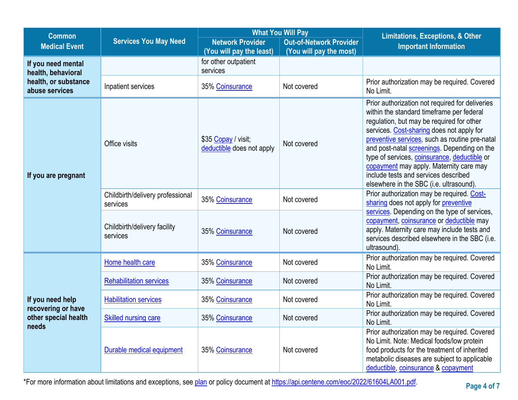| <b>Common</b>                            | <b>What You Will Pay</b>                     |                                                     | <b>Limitations, Exceptions, &amp; Other</b>               |                                                                                                                                                                                                                                                                                                                                                                                                                                                                       |  |
|------------------------------------------|----------------------------------------------|-----------------------------------------------------|-----------------------------------------------------------|-----------------------------------------------------------------------------------------------------------------------------------------------------------------------------------------------------------------------------------------------------------------------------------------------------------------------------------------------------------------------------------------------------------------------------------------------------------------------|--|
| <b>Medical Event</b>                     | <b>Services You May Need</b>                 | <b>Network Provider</b><br>(You will pay the least) | <b>Out-of-Network Provider</b><br>(You will pay the most) | <b>Important Information</b>                                                                                                                                                                                                                                                                                                                                                                                                                                          |  |
| If you need mental<br>health, behavioral |                                              | for other outpatient<br>services                    |                                                           |                                                                                                                                                                                                                                                                                                                                                                                                                                                                       |  |
| health, or substance<br>abuse services   | Inpatient services                           | 35% Coinsurance                                     | Not covered                                               | Prior authorization may be required. Covered<br>No Limit.                                                                                                                                                                                                                                                                                                                                                                                                             |  |
| If you are pregnant                      | Office visits                                | \$35 Copay / visit;<br>deductible does not apply    | Not covered                                               | Prior authorization not required for deliveries<br>within the standard timeframe per federal<br>regulation, but may be required for other<br>services. Cost-sharing does not apply for<br>preventive services, such as routine pre-natal<br>and post-natal screenings. Depending on the<br>type of services, coinsurance, deductible or<br>copayment may apply. Maternity care may<br>include tests and services described<br>elsewhere in the SBC (i.e. ultrasound). |  |
|                                          | Childbirth/delivery professional<br>services | 35% Coinsurance                                     | Not covered                                               | Prior authorization may be required. Cost-<br>sharing does not apply for preventive                                                                                                                                                                                                                                                                                                                                                                                   |  |
|                                          | Childbirth/delivery facility<br>services     | 35% Coinsurance                                     | Not covered                                               | services. Depending on the type of services,<br>copayment, coinsurance or deductible may<br>apply. Maternity care may include tests and<br>services described elsewhere in the SBC (i.e.<br>ultrasound).                                                                                                                                                                                                                                                              |  |
|                                          | Home health care                             | 35% Coinsurance                                     | Not covered                                               | Prior authorization may be required. Covered<br>No Limit.                                                                                                                                                                                                                                                                                                                                                                                                             |  |
|                                          | <b>Rehabilitation services</b>               | 35% Coinsurance                                     | Not covered                                               | Prior authorization may be required. Covered<br>No Limit.                                                                                                                                                                                                                                                                                                                                                                                                             |  |
| If you need help<br>recovering or have   | <b>Habilitation services</b>                 | 35% Coinsurance                                     | Not covered                                               | Prior authorization may be required. Covered<br>No Limit.                                                                                                                                                                                                                                                                                                                                                                                                             |  |
| other special health<br>needs            | <b>Skilled nursing care</b>                  | 35% Coinsurance                                     | Not covered                                               | Prior authorization may be required. Covered<br>No Limit.                                                                                                                                                                                                                                                                                                                                                                                                             |  |
|                                          | Durable medical equipment                    | 35% Coinsurance                                     | Not covered                                               | Prior authorization may be required. Covered<br>No Limit. Note: Medical foods/low protein<br>food products for the treatment of inherited<br>metabolic diseases are subject to applicable<br>deductible, coinsurance & copayment                                                                                                                                                                                                                                      |  |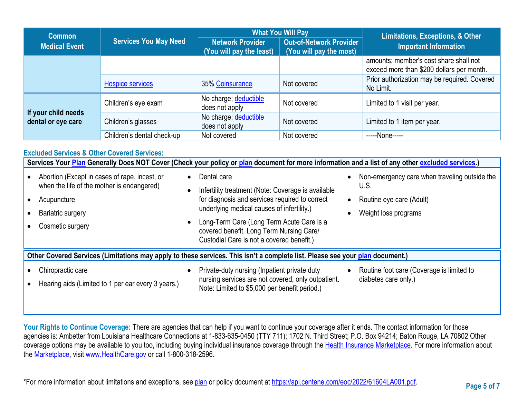| <b>Common</b>                             |                                                                                     |                                         | <b>What You Will Pay</b>                                  | Limitations, Exceptions, & Other                                                    |  |
|-------------------------------------------|-------------------------------------------------------------------------------------|-----------------------------------------|-----------------------------------------------------------|-------------------------------------------------------------------------------------|--|
| <b>Medical Event</b>                      | <b>Services You May Need</b><br><b>Network Provider</b><br>(You will pay the least) |                                         | <b>Out-of-Network Provider</b><br>(You will pay the most) | <b>Important Information</b>                                                        |  |
|                                           |                                                                                     |                                         |                                                           | amounts; member's cost share shall not<br>exceed more than \$200 dollars per month. |  |
|                                           | <b>Hospice services</b>                                                             | 35% Coinsurance                         | Not covered                                               | Prior authorization may be required. Covered<br>No Limit.                           |  |
|                                           | Children's eye exam                                                                 | No charge; deductible<br>does not apply | Not covered                                               | Limited to 1 visit per year.                                                        |  |
| If your child needs<br>dental or eye care | Children's glasses                                                                  | No charge; deductible<br>does not apply | Not covered                                               | Limited to 1 item per year.                                                         |  |
|                                           | Children's dental check-up                                                          | Not covered                             | Not covered                                               | -----None-----                                                                      |  |

### **Excluded Services & Other Covered Services: Services Your [Plan](https://www.healthcare.gov/sbc-glossary/#plan) Generally Does NOT Cover (Check your policy or [plan](https://www.healthcare.gov/sbc-glossary/#plan) document for more information and a list of any other [excluded services.](https://www.healthcare.gov/sbc-glossary/#excluded-services))** • Abortion (Except in cases of rape, incest, or when the life of the mother is endangered) • Acupuncture Bariatric surgery • Cosmetic surgery Dental care Infertility treatment (Note: Coverage is available for diagnosis and services required to correct underlying medical causes of infertility.) • Long-Term Care (Long Term Acute Care is a covered benefit. Long Term Nursing Care/ Custodial Care is not a covered benefit.) • Non-emergency care when traveling outside the U.S. • Routine eye care (Adult) • Weight loss programs **Other Covered Services (Limitations may apply to these services. This isn't a complete list. Please see your [plan](https://www.healthcare.gov/sbc-glossary/#plan) document.)**  • Chiropractic care • Hearing aids (Limited to 1 per ear every 3 years.) • Private-duty nursing (Inpatient private duty nursing services are not covered, only outpatient. Note: Limited to \$5,000 per benefit period.) • Routine foot care (Coverage is limited to diabetes care only.)

Your Rights to Continue Coverage: There are agencies that can help if you want to continue your coverage after it ends. The contact information for those agencies is: Ambetter from Louisiana Healthcare Connections at 1-833-635-0450 (TTY 711); 1702 N. Third Street; P.O. Box 94214; Baton Rouge, LA 70802 Other coverage options may be available to you too, including buying individual insurance coverage through the [Health Insurance](https://www.healthcare.gov/sbc-glossary/#health-insurance) [Marketplace.](https://www.healthcare.gov/sbc-glossary/#marketplace) For more information about the [Marketplace,](https://www.healthcare.gov/sbc-glossary/#marketplace) visit [www.HealthCare.gov](http://www.healthcare.gov/) or call 1-800-318-2596.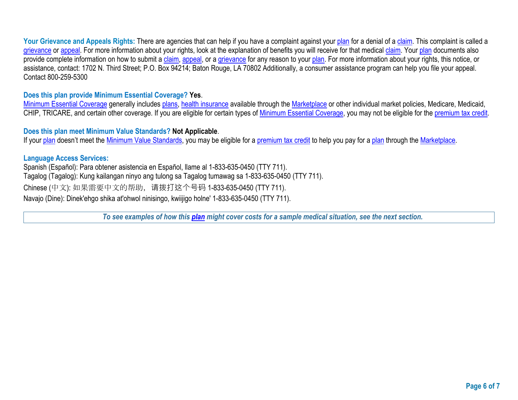Your Grievance and Appeals Rights: There are agencies that can help if you have a complaint against your [plan](https://www.healthcare.gov/sbc-glossary/#plan) for a denial of a [claim.](https://www.healthcare.gov/sbc-glossary/#claim) This complaint is called a [grievance](https://www.healthcare.gov/sbc-glossary/#grievance) or [appeal.](https://www.healthcare.gov/sbc-glossary/#appeal) For more information about your rights, look at the explanation of benefits you will receive for that medical [claim.](https://www.healthcare.gov/sbc-glossary/#claim) Your [plan](https://www.healthcare.gov/sbc-glossary/#plan) documents also provide complete information on how to submit a [claim,](https://www.healthcare.gov/sbc-glossary/#claim) [appeal,](https://www.healthcare.gov/sbc-glossary/#appeal) or a [grievance](https://www.healthcare.gov/sbc-glossary/#grievance) for any reason to your [plan.](https://www.healthcare.gov/sbc-glossary/#plan) For more information about your rights, this notice, or assistance, contact: 1702 N. Third Street; P.O. Box 94214; Baton Rouge, LA 70802 Additionally, a consumer assistance program can help you file your appeal. Contact 800-259-5300

# **Does this plan provide Minimum Essential Coverage? Yes**.

[Minimum Essential Coverage](https://www.healthcare.gov/sbc-glossary/#minimum-essential-coverage) generally includes [plans,](https://www.healthcare.gov/sbc-glossary/#plan) [health insurance](https://www.healthcare.gov/sbc-glossary/#health-insurance) available through the [Marketplace](https://www.healthcare.gov/sbc-glossary/#marketplace) or other individual market policies, Medicare, Medicaid, CHIP, TRICARE, and certain other coverage. If you are eligible for certain types of [Minimum Essential Coverage,](https://www.healthcare.gov/sbc-glossary/#minimum-essential-coverage) you may not be eligible for the [premium tax credit.](https://www.healthcare.gov/sbc-glossary/#premium-tax-credits)

# **Does this plan meet Minimum Value Standards? Not Applicable**.

If your [plan](https://www.healthcare.gov/sbc-glossary/#plan) doesn't meet the [Minimum Value Standards,](https://www.healthcare.gov/sbc-glossary/#minimum-value-standard) you may be eligible for a [premium tax credit](https://www.healthcare.gov/sbc-glossary/#premium-tax-credits) to help you pay for a plan through the [Marketplace.](https://www.healthcare.gov/sbc-glossary/#marketplace)

# **Language Access Services:**

Spanish (Español): Para obtener asistencia en Español, llame al 1-833-635-0450 (TTY 711). Tagalog (Tagalog): Kung kailangan ninyo ang tulong sa Tagalog tumawag sa 1-833-635-0450 (TTY 711). Chinese (中文): 如果需要中文的帮助,请拨打这个号码 1-833-635-0450 (TTY 711). Navajo (Dine): Dinek'ehgo shika at'ohwol ninisingo, kwiijigo holne' 1-833-635-0450 (TTY 711).

*To see examples of how this [plan](https://www.healthcare.gov/sbc-glossary/#plan) might cover costs for a sample medical situation, see the next section.*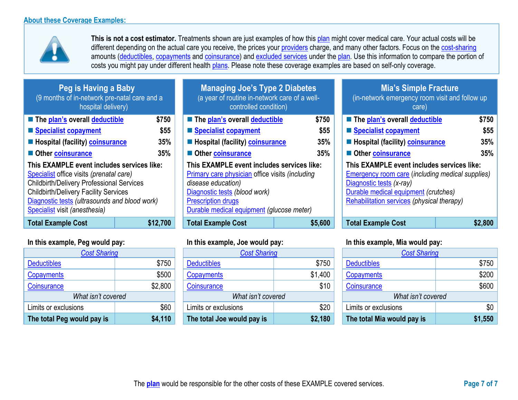

**This is not a cost estimator.** Treatments shown are just examples of how this [plan](https://www.healthcare.gov/sbc-glossary/#plan) might cover medical care. Your actual costs will be different depending on the actual care you receive, the prices your [providers](https://www.healthcare.gov/sbc-glossary/#provider) charge, and many other factors. Focus on the [cost-sharing](https://www.healthcare.gov/sbc-glossary/#cost-sharing) amounts [\(deductibles,](https://www.healthcare.gov/sbc-glossary/#deductible) [copayments](https://www.healthcare.gov/sbc-glossary/#copayment) and [coinsurance\)](https://www.healthcare.gov/sbc-glossary/#coinsurance) and [excluded services](https://www.healthcare.gov/sbc-glossary/#excluded-services) under the [plan.](https://www.healthcare.gov/sbc-glossary/#plan) Use this information to compare the portion of costs you might pay under different health [plans.](https://www.healthcare.gov/sbc-glossary/#plan) Please note these coverage examples are based on self-only coverage.

| Peg is Having a Baby<br>(9 months of in-network pre-natal care and a<br>hospital delivery)                                                                                                                                                                                   |                 |
|------------------------------------------------------------------------------------------------------------------------------------------------------------------------------------------------------------------------------------------------------------------------------|-----------------|
| ■ The plan's overall deductible                                                                                                                                                                                                                                              | \$75            |
| Specialist copayment                                                                                                                                                                                                                                                         | \$5             |
| <b>Exercise Hospital (facility) coinsurance</b>                                                                                                                                                                                                                              | 35 <sup>°</sup> |
| Other coinsurance                                                                                                                                                                                                                                                            | 35%             |
| This EXAMPLE event includes services like:<br>Specialist office visits (prenatal care)<br><b>Childbirth/Delivery Professional Services</b><br><b>Childbirth/Delivery Facility Services</b><br>Diagnostic tests (ultrasounds and blood work)<br>Specialist visit (anesthesia) |                 |
| Cotal Evample Cost                                                                                                                                                                                                                                                           | S12 70          |

| <b>Cost Sharing</b>        |         |  |
|----------------------------|---------|--|
| <b>Deductibles</b>         | \$750   |  |
| Copayments                 | \$500   |  |
| Coinsurance                | \$2,800 |  |
| What isn't covered         |         |  |
| Limits or exclusions       | \$60    |  |
| The total Peg would pay is | \$4,110 |  |

| <b>Managing Joe's Type 2 Diabetes</b><br>(a year of routine in-network care of a well-<br>controlled condition) |         |  |
|-----------------------------------------------------------------------------------------------------------------|---------|--|
| The plan's overall deductible                                                                                   | \$750   |  |
| ■ Specialist copayment                                                                                          | \$55    |  |
| 35%<br><b>Hospital (facility) coinsurance</b>                                                                   |         |  |
| 35%<br><b>Other coinsurance</b>                                                                                 |         |  |
| This EXAMPLE event includes services like:<br>Primary care physician office visits (including                   |         |  |
| disease education)                                                                                              |         |  |
| Diagnostic tests (blood work)                                                                                   |         |  |
| <b>Prescription drugs</b>                                                                                       |         |  |
| Durable medical equipment (glucose meter)                                                                       |         |  |
| <b>Total Example Cost</b>                                                                                       | \$5.600 |  |

| <b>Cost Sharing</b>        |         | <b>Cost Sharing</b>        |         | <b>Cost Sharing</b>        |         |
|----------------------------|---------|----------------------------|---------|----------------------------|---------|
| <b>Deductibles</b>         | \$750   | <b>Deductibles</b>         | \$750   | <b>Deductibles</b>         | \$750   |
| <b>Copayments</b>          | \$500   | Copayments                 | \$1,400 | Copayments                 | \$200   |
| Coinsurance                | \$2,800 | Coinsurance                | \$10    | Coinsurance                | \$600   |
| What isn't covered         |         | What isn't covered         |         | What isn't covered         |         |
| Limits or exclusions       | \$60    | Limits or exclusions       | \$20    | Limits or exclusions       | \$0     |
| The total Peg would pay is | \$4,110 | The total Joe would pay is | \$2,180 | The total Mia would pay is | \$1,550 |

## **Mia's Simple Fracture** (in-network emergency room visit and follow up

| hospital delivery)                                                                                                                                                                                                                                                           |          | controlled condition)                                                                                                                                                                                                                 |         | care)                                                                                                                                                                                                                   |         |
|------------------------------------------------------------------------------------------------------------------------------------------------------------------------------------------------------------------------------------------------------------------------------|----------|---------------------------------------------------------------------------------------------------------------------------------------------------------------------------------------------------------------------------------------|---------|-------------------------------------------------------------------------------------------------------------------------------------------------------------------------------------------------------------------------|---------|
| The plan's overall deductible                                                                                                                                                                                                                                                | \$750    | The plan's overall deductible                                                                                                                                                                                                         | \$750   | ■ The plan's overall deductible                                                                                                                                                                                         | \$750   |
| Specialist copayment                                                                                                                                                                                                                                                         | \$55     | Specialist copayment                                                                                                                                                                                                                  | \$55    | Specialist copayment                                                                                                                                                                                                    | \$55    |
| <b>E</b> Hospital (facility) <b>coinsurance</b>                                                                                                                                                                                                                              | 35%      | <b>E</b> Hospital (facility) <b>coinsurance</b>                                                                                                                                                                                       | 35%     | <b>E</b> Hospital (facility) <b>coinsurance</b>                                                                                                                                                                         | 35%     |
| Other coinsurance                                                                                                                                                                                                                                                            | 35%      | Other coinsurance                                                                                                                                                                                                                     | 35%     | Other coinsurance                                                                                                                                                                                                       | 35%     |
| This EXAMPLE event includes services like:<br>Specialist office visits (prenatal care)<br><b>Childbirth/Delivery Professional Services</b><br><b>Childbirth/Delivery Facility Services</b><br>Diagnostic tests (ultrasounds and blood work)<br>Specialist visit (anesthesia) |          | This EXAMPLE event includes services like:<br><b>Primary care physician office visits (including</b><br>disease education)<br>Diagnostic tests (blood work)<br><b>Prescription drugs</b><br>Durable medical equipment (glucose meter) |         | This EXAMPLE event includes services like:<br><b>Emergency room care (including medical supplies)</b><br>Diagnostic tests (x-ray)<br>Durable medical equipment (crutches)<br>Rehabilitation services (physical therapy) |         |
| <b>Total Example Cost</b>                                                                                                                                                                                                                                                    | \$12,700 | <b>Total Example Cost</b>                                                                                                                                                                                                             | \$5,600 | <b>Total Example Cost</b>                                                                                                                                                                                               | \$2,800 |

# **In this example, Peg would pay: In this example, Joe would pay: In this example, Mia would pay:**

| <b>Cost Sharing</b>        |         |  |
|----------------------------|---------|--|
| <b>Deductibles</b>         | \$750   |  |
| <b>Copayments</b>          | \$200   |  |
| Coinsurance                | \$600   |  |
| What isn't covered         |         |  |
| Limits or exclusions       | \$0     |  |
| The total Mia would pay is | \$1,550 |  |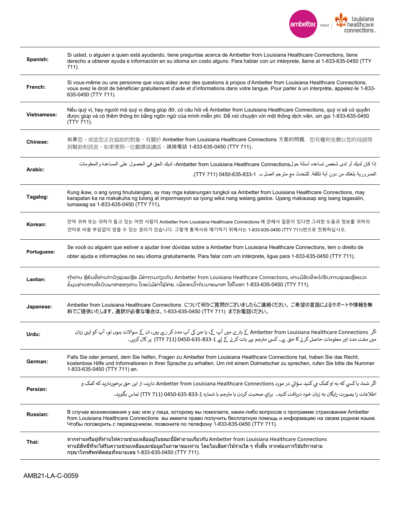

| Spanish:        | Si usted, o alguien a quien está ayudando, tiene preguntas acerca de Ambetter from Louisiana Healthcare Connections, tiene<br>derecho a obtener ayuda e información en su idioma sin costo alguno. Para hablar con un intérprete, llame al 1-833-635-0450 (TTY<br>711).                                                          |
|-----------------|----------------------------------------------------------------------------------------------------------------------------------------------------------------------------------------------------------------------------------------------------------------------------------------------------------------------------------|
| French:         | Si vous-même ou une personne que vous aidez avez des questions à propos d'Ambetter from Louisiana Healthcare Connections,<br>vous avez le droit de bénéficier gratuitement d'aide et d'informations dans votre langue. Pour parler à un interprète, appelez-le 1-833-<br>635-0450 (TTY 711).                                     |
| Vietnamese:     | Nếu quý vị, hay người mà quý vị đang giúp đỡ, có câu hỏi về Ambetter from Louisiana Healthcare Connections, quý vị sẽ có quyền<br>được giúp và có thêm thông tin bằng ngôn ngữ của mình miễn phí. Để nói chuyện với một thông dịch viên, xin gọi 1-833-635-0450<br>(TTY 711).                                                    |
| <b>Chinese:</b> | 如果您,或是您正在協助的對象,有關於 Ambetter from Louisiana Healthcare Connections 方面的問題,您有權利免費以您的母語得<br>到幫助和訊息。如果要與一位翻譯員講話,請撥電話 1-833-635-0450 (TTY 711)。                                                                                                                                                                                        |
| Arabic:         | إذا كان لديك أو لدى شخص تساعده أسئلة حولAmbetter from Louisiana Healthcare Connections، لديك الحق في الحصول على المساعدة والمعلومات<br>الضرورية بلغتك من دون أية تكلفة. للتحدث مع مترجم اتصل بـ  1-833-635-630 (TTY 711).                                                                                                        |
| Tagalog:        | Kung ikaw, o ang iyong tinutulangan, ay may mga katanungan tungkol sa Ambetter from Louisiana Healthcare Connections, may<br>karapatan ka na makakuha ng tulong at impormasyon sa iyong wika nang walang gastos. Upang makausap ang isang tagasalin,<br>tumawag sa 1-833-635-0450 (TTY 711).                                     |
| Korean:         | 만약 귀하 또는 귀하가 돕고 있는 어떤 사람이 Ambetter from Louisiana Healthcare Connections 에 관해서 질문이 있다면 그러한 도움과 정보를 귀하의<br>언어로 비용 부담없이 얻을 수 있는 권리가 있습니다. 그렇게 통역사와 얘기하기 위해서는 1-833-635-0450 (TTY 711)번으로 전화하십시오.                                                                                                                                   |
| Portuguese:     | Se você ou alguém que estiver a ajudar tiver dúvidas sobre a Ambetter from Louisiana Healthcare Connections, tem o direito de<br>obter ajuda e informações no seu idioma gratuitamente. Para falar com um intérprete, ligue para 1-833-635-0450 (TTY 711).                                                                       |
| Laotian:        | ຖ້າທ່ານ ຫຼືຄົນທີ່ທ່ານກໍາລັງຊ່ວຍເຫຼືອ ມືຄໍາຖາມກ່ຽວກັບ Ambetter from Louisiana Healthcare Connections, ທ່ານມືສຶດທີ່ຈະໄດ້ຮັບການຊ່ວຍເຫຼືອແລະ<br>ຂໍ້ມູນຂ່າວສານທີ່ເປັນພາສາຂອງທ່ານ ໂດຍບໍ່ມີຄ່າໃຊ້ຈ່າຍ. ເພື່ອຈະເວົ້າກັບນາຍພາສາ ໃຫ້ໂທຫາ 1-833-635-0450 (TTY 711).                                                                         |
| Japanese:       | Ambetter from Louisiana Healthcare Connections について何かご質問がございましたらご連絡ください。 ご希望の言語によるサポートや情報を無<br>料でご提供いたします。通訳が必要な場合は、1-833-635-0450 (TTY 711) までお電話ください。                                                                                                                                                                          |
| Urdu:           | اگر  Ambetter from Louisiana Healthcare Connections کے بارے میں آپ کے، یا جن کی آپ مدد کر رہے ہیں، ان کے سوالات ہوں تو، آپ کو اپنی زبان<br>میں مفت مدد اور معلومات حاصل کر نے کا حق ہے۔ کسی مترجم سے بات کر نے کے لیے 31-833-0455 (711 TTY)  پر کال کریں۔                                                                        |
| German:         | Falls Sie oder jemand, dem Sie helfen, Fragen zu Ambetter from Louisiana Healthcare Connections hat, haben Sie das Recht,<br>kostenlose Hilfe und Informationen in Ihrer Sprache zu erhalten. Um mit einem Dolmetscher zu sprechen, rufen Sie bitte die Nummer<br>1-833-635-0450 (TTY 711) an.                                   |
| Persian:        | اگر شما، يا کسي که به او کمک مي کنيد سؤالي در مورد Ambetter from Louisiana Healthcare Connections داريد، از اين حق برخورداريد که کمک و<br>اطلاعات را بصورت رايگان به زيان خود دريافت كنيد۔  براي صحبت كردن با مترجم با شماره 1-833-635-0450 (TTY 711) تماس بگيربد۔                                                               |
| Russian:        | В случае возникновения у вас или у лица, которому вы помогаете, каких-либо вопросов о программе страхования Ambetter<br>from Louisiana Healthcare Connections вы имеете право получить бесплатную помощь и информацию на своем родном языке.<br>Чтобы поговорить с переводчиком, позвоните по телефону 1-833-635-0450 (TTY 711). |
| Thai:           | ้หากท่านหรือผู้ที่ท่านให้ความช่วยเหลืออยู่ในขณะนี้มีคำถามเกี่ยวกับ Ambetter from Louisiana Healthcare Connections<br>ี่ท่านมีสิทธิ์ที่จะได้รับความช่วยเหลือและข้อมูลในภาษาของท่าน โดยไม่เสียค่าใช้จ่ายใด ๆ ทั้งสิ้น หากต้องการใช้บริการล่าม<br>ึกรุณาโทรศัพท์ติดต่อที่หมายเลข 1-833-635-0450 (TTY 711).                          |